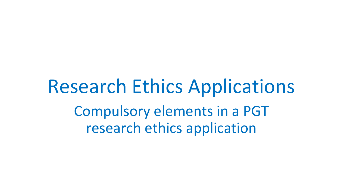Research Ethics Applications Compulsory elements in a PGT research ethics application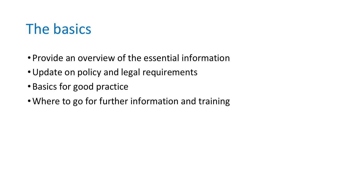### The basics

- Provide an overview of the essential information
- •Update on policy and legal requirements
- Basics for good practice
- •Where to go for further information and training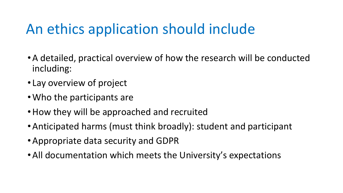## An ethics application should include

- •A detailed, practical overview of how the research will be conducted including:
- Lay overview of project
- •Who the participants are
- •How they will be approached and recruited
- •Anticipated harms (must think broadly): student and participant
- •Appropriate data security and GDPR
- •All documentation which meets the University's expectations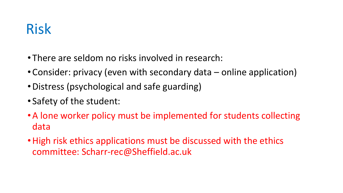### Risk

- There are seldom no risks involved in research:
- Consider: privacy (even with secondary data online application)
- •Distress (psychological and safe guarding)
- Safety of the student:
- •A lone worker policy must be implemented for students collecting data
- High risk ethics applications must be discussed with the ethics committee: Scharr-rec@Sheffield.ac.uk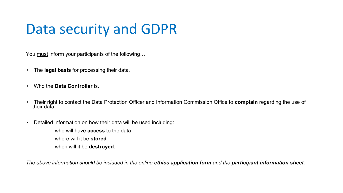### Data security and GDPR

You must inform your participants of the following...

- The **legal basis** for processing their data.
- Who the **Data Controller** is.
- Their right to contact the Data Protection Officer and Information Commission Office to **complain** regarding the use of their data.
- Detailed information on how their data will be used including:
	- who will have **access** to the data
	- where will it be **stored**
	- when will it be **destroyed**.

*The above information should be included in the online ethics application form and the participant information sheet.*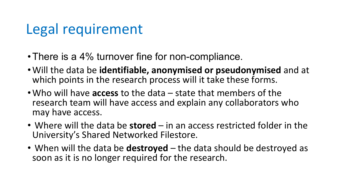#### Legal requirement

- There is a 4% turnover fine for non-compliance.
- •Will the data be **identifiable, anonymised or pseudonymised** and at which points in the research process will it take these forms.
- •Who will have **access** to the data state that members of the research team will have access and explain any collaborators who may have access.
- Where will the data be **stored** in an access restricted folder in the University's Shared Networked Filestore.
- When will the data be **destroyed** the data should be destroyed as soon as it is no longer required for the research.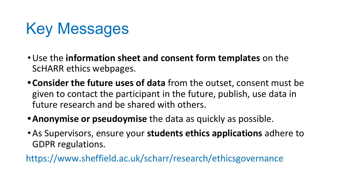# Key Messages

- •Use the **information sheet and consent form templates** on the ScHARR ethics webpages.
- **• Consider the future uses of data** from the outset, consent must be given to contact the participant in the future, publish, use data in future research and be shared with others.
- **•Anonymise or pseudoymise** the data as quickly as possible.
- •As Supervisors, ensure your **students ethics applications** adhere to GDPR regulations.

https://www.sheffield.ac.uk/scharr/research/ethicsgovernance